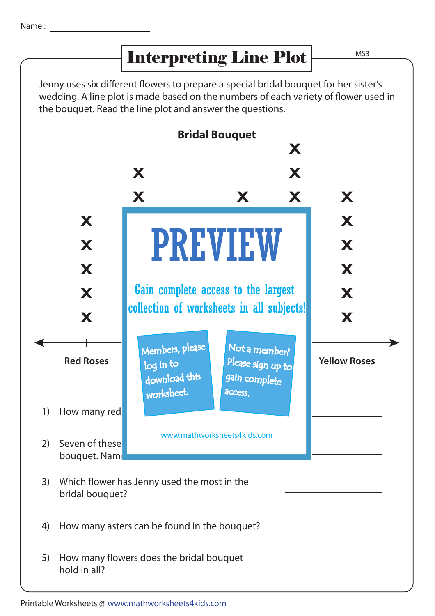## Interpreting Line Plot

MS3

Jenny uses six different flowers to prepare a special bridal bouquet for her sister's wedding. A line plot is made based on the numbers of each variety of flower used in the bouquet. Read the line plot and answer the questions.